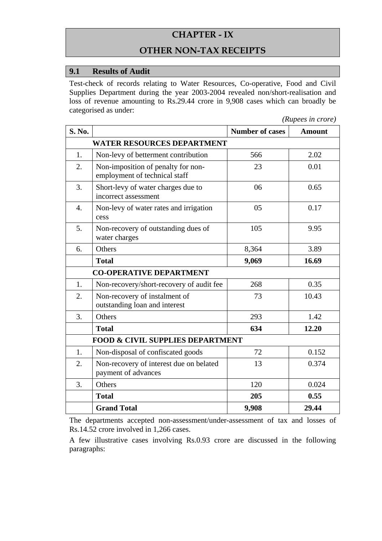# **CHAPTER - IX**

### **OTHER NON-TAX RECEIPTS**

#### **9.1 Results of Audit**

Test-check of records relating to Water Resources, Co-operative, Food and Civil Supplies Department during the year 2003-2004 revealed non/short-realisation and loss of revenue amounting to Rs.29.44 crore in 9,908 cases which can broadly be categorised as under:

*(Rupees in crore)* 

| <b>S. No.</b>                               |                                                                     | <b>Number of cases</b> | <b>Amount</b> |
|---------------------------------------------|---------------------------------------------------------------------|------------------------|---------------|
| <b>WATER RESOURCES DEPARTMENT</b>           |                                                                     |                        |               |
| 1.                                          | Non-levy of betterment contribution                                 | 566                    | 2.02          |
| 2.                                          | Non-imposition of penalty for non-<br>employment of technical staff | 23                     | 0.01          |
| 3.                                          | Short-levy of water charges due to<br>incorrect assessment          | 06                     | 0.65          |
| $\overline{4}$ .                            | Non-levy of water rates and irrigation<br>cess                      | 05                     | 0.17          |
| 5.                                          | Non-recovery of outstanding dues of<br>water charges                | 105                    | 9.95          |
| 6.                                          | Others                                                              | 8,364                  | 3.89          |
|                                             | <b>Total</b>                                                        | 9,069                  | 16.69         |
| <b>CO-OPERATIVE DEPARTMENT</b>              |                                                                     |                        |               |
| 1.                                          | Non-recovery/short-recovery of audit fee                            | 268                    | 0.35          |
| 2.                                          | Non-recovery of instalment of<br>outstanding loan and interest      | 73                     | 10.43         |
| 3.                                          | Others                                                              | 293                    | 1.42          |
|                                             | <b>Total</b>                                                        | 634                    | 12.20         |
| <b>FOOD &amp; CIVIL SUPPLIES DEPARTMENT</b> |                                                                     |                        |               |
| 1.                                          | Non-disposal of confiscated goods                                   | 72                     | 0.152         |
| 2.                                          | Non-recovery of interest due on belated<br>payment of advances      | 13                     | 0.374         |
| 3.                                          | Others                                                              | 120                    | 0.024         |
|                                             | <b>Total</b>                                                        | 205                    | 0.55          |
|                                             | <b>Grand Total</b>                                                  | 9,908                  | 29.44         |

The departments accepted non-assessment/under-assessment of tax and losses of Rs.14.52 crore involved in 1,266 cases.

A few illustrative cases involving Rs.0.93 crore are discussed in the following paragraphs: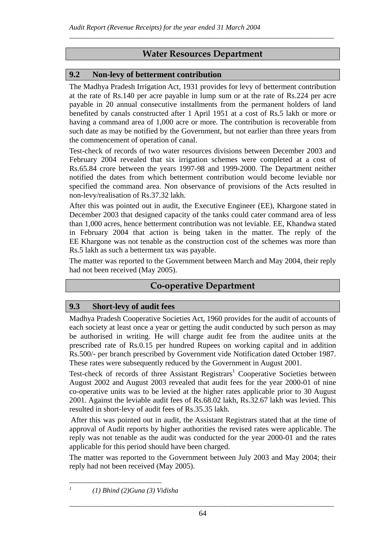# **Water Resources Department**

\_\_\_\_\_\_\_\_\_\_\_\_\_\_\_\_\_\_\_\_\_\_\_\_\_\_\_\_\_\_\_\_\_\_\_\_\_\_\_\_\_\_\_\_\_\_\_\_\_\_\_\_\_\_\_\_\_\_\_\_\_\_\_\_\_\_\_\_\_\_\_\_\_\_\_

### **9.2 Non-levy of betterment contribution**

The Madhya Pradesh Irrigation Act, 1931 provides for levy of betterment contribution at the rate of Rs.140 per acre payable in lump sum or at the rate of Rs.224 per acre payable in 20 annual consecutive installments from the permanent holders of land benefited by canals constructed after 1 April 1951 at a cost of Rs.5 lakh or more or having a command area of 1,000 acre or more. The contribution is recoverable from such date as may be notified by the Government, but not earlier than three years from the commencement of operation of canal.

Test-check of records of two water resources divisions between December 2003 and February 2004 revealed that six irrigation schemes were completed at a cost of Rs.65.84 crore between the years 1997-98 and 1999-2000. The Department neither notified the dates from which betterment contribution would become leviable nor specified the command area. Non observance of provisions of the Acts resulted in non-levy/realisation of Rs.37.32 lakh.

After this was pointed out in audit, the Executive Engineer (EE), Khargone stated in December 2003 that designed capacity of the tanks could cater command area of less than 1,000 acres, hence betterment contribution was not leviable. EE, Khandwa stated in February 2004 that action is being taken in the matter. The reply of the EE Khargone was not tenable as the construction cost of the schemes was more than Rs.5 lakh as such a betterment tax was payable.

The matter was reported to the Government between March and May 2004, their reply had not been received (May 2005).

# **Co-operative Department**

#### **9.3 Short-levy of audit fees**

Madhya Pradesh Cooperative Societies Act, 1960 provides for the audit of accounts of each society at least once a year or getting the audit conducted by such person as may be authorised in writing. He will charge audit fee from the auditee units at the prescribed rate of Rs.0.15 per hundred Rupees on working capital and in addition Rs.500/- per branch prescribed by Government vide Notification dated October 1987. These rates were subsequently reduced by the Government in August 2001.

Test-check of records of three Assistant  $Registrars<sup>1</sup>$  Cooperative Societies between August 2002 and August 2003 revealed that audit fees for the year 2000-01 of nine co-operative units was to be levied at the higher rates applicable prior to 30 August 2001. Against the leviable audit fees of Rs.68.02 lakh, Rs.32.67 lakh was levied. This resulted in short-levy of audit fees of Rs.35.35 lakh.

 After this was pointed out in audit, the Assistant Registrars stated that at the time of approval of Audit reports by higher authorities the revised rates were applicable. The reply was not tenable as the audit was conducted for the year 2000-01 and the rates applicable for this period should have been charged.

The matter was reported to the Government between July 2003 and May 2004; their reply had not been received (May 2005).

 $\overline{a}$ *1*

 *<sup>(1)</sup> Bhind (2)Guna (3) Vidisha*